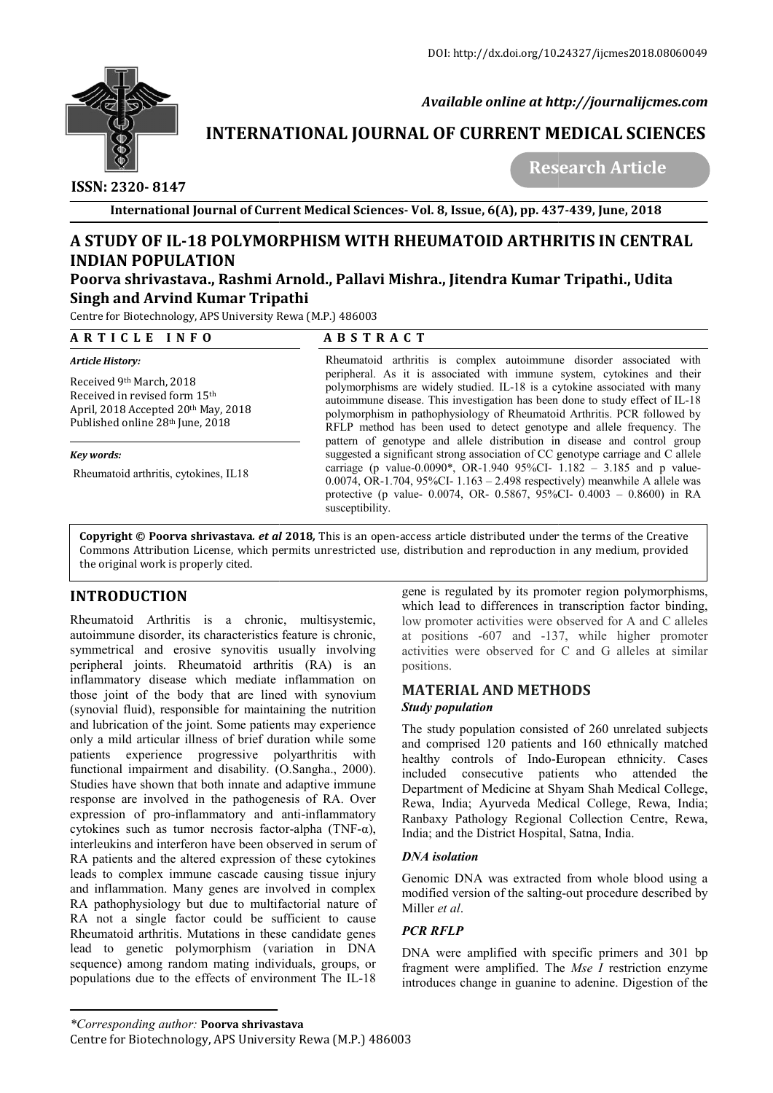

 *Available online at http://journalijcmes.com*

# **INTERNATIONAL JOURNAL OF CURRENT MEDICAL SCIENCES**<br>Research Article

 **ISSN: 2320- 8147**

 **Research**

**International Journal of Current Medical Sciences Sciences- Vol. 8, Issue, 6(A), pp. 437 437-439, June, 2018**

## **A STUDY OF IL-18 POLYMORPHISM WITH RHEUMATOID ARTHRITIS IN CENTRAL INDIAN POPULATION** A STUDY OF IL-18 POLYMORPHISM WITH RHEUMATOID ARTHRITIS IN CENTRAL<br>INDIAN POPULATION<br>Poorva shrivastava., Rashmi Arnold., Pallavi Mishra., Jitendra Kumar Tripathi., Udita

# **Singh and Arvind Kumar Tripathi**

Centre for Biotechnology, APS University Rewa (M.P.) 486003

| ARTICLE INFO                                                                                                                                     | <b>ABSTRACT</b>                                                                                                                                                                                                                                                                                                                                                                                                                                                          |  |  |
|--------------------------------------------------------------------------------------------------------------------------------------------------|--------------------------------------------------------------------------------------------------------------------------------------------------------------------------------------------------------------------------------------------------------------------------------------------------------------------------------------------------------------------------------------------------------------------------------------------------------------------------|--|--|
| Article History:                                                                                                                                 | Rheumatoid arthritis is complex autoimmune disorder associated with                                                                                                                                                                                                                                                                                                                                                                                                      |  |  |
| Received 9th March, 2018<br>Received in revised form 15 <sup>th</sup><br>April, 2018 Accepted 20th May, 2018<br>Published online 28th June, 2018 | peripheral. As it is associated with immune system, cytokines and their<br>polymorphisms are widely studied. IL-18 is a cytokine associated with many<br>autoimmune disease. This investigation has been done to study effect of IL-18<br>polymorphism in pathophysiology of Rheumatoid Arthritis. PCR followed by<br>RFLP method has been used to detect genotype and allele frequency. The<br>pattern of genotype and allele distribution in disease and control group |  |  |
| Key words:                                                                                                                                       | suggested a significant strong association of CC genotype carriage and C allele                                                                                                                                                                                                                                                                                                                                                                                          |  |  |
| Rheumatoid arthritis, cytokines, IL18                                                                                                            | carriage (p value-0.0090*, OR-1.940 95%CI- $1.182 - 3.185$ and p value-<br>0.0074, OR-1.704, 95%CI-1.163 - 2.498 respectively) meanwhile A allele was<br>protective (p value- 0.0074, OR- 0.5867, 95%CI- 0.4003 - 0.8600) in RA<br>susceptibility.                                                                                                                                                                                                                       |  |  |

**Copyright © Poorva shrivastava***. et al* **2018***,* This is an open-access article distributed under the terms of the Creative **Copyright © Poorva shrivastava***. et al* **2018,** This is an open-access article distributed under the terms of the Creative<br>Commons Attribution License, which permits unrestricted use, distribution and reproduction in any m the original work is properly cited.

### **INTRODUCTION**

Rheumatoid Arthritis is a chronic, multisystemic, autoimmune disorder, its characteristics feature is chronic, symmetrical and erosive synovitis usually involving peripheral joints. Rheumatoid arthritis (RA) is an inflammatory disease which mediate inflammation on those joint of the body that are lined with synovium (synovial fluid), responsible for maintaining the nutrition and lubrication of the joint. Some patients may experience only a mild articular illness of brief duration while some patients experience progressive poly polyarthritis with functional impairment and disability. (O.Sangha., 2000). Studies have shown that both innate and adaptive immune response are involved in the pathogenesis of RA. Over expression of pro-inflammatory and anti-inflammatory cytokines such as tumor necrosis factor-alpha (TNF- $\alpha$ ), interleukins and interferon have been observed in serum of RA patients and the altered expression of these cytokines leads to complex immune cascade causing tissue injury and inflammation. Many genes are involved in complex RA pathophysiology but due to multifactorial nature of RA not a single factor could be sufficient to cause Rheumatoid arthritis. Mutations in these candidate genes lead to genetic polymorphism (variation in DNA sequence) among random mating individuals, groups, or populations due to the effects of environment The IL-18 gene is regulated by its promoter region polymorphisms, which lead to differences in transcription factor binding, low promoter activities were observed for A and C alleles at positions -607 and -137, while higher promoter activities were observed for C and G alleles at similar positions. is regulated by its promoter region polymorphisms,<br>th lead to differences in transcription factor binding,<br>promoter activities were observed for A and C alleles<br>positions -607 and -137, while higher promoter

#### **MATERIAL AND METHODS MATERIAL AND METHODS***Study population*

The study population consisted of 260 unrelated subjects and comprised 120 patients and 160 ethnically matched healthy controls of Indo-European ethnicity. Cases included consecutive patients who attended the Department of Medicine at Shyam Shah Medical College, Rewa, India; Ayurveda Medical College, Rewa, India; Ranbaxy Pathology Regional Collection Centre, Rewa, India; and the District Hospital, Satna, India. healthy controls of Indo-European ethnicity. Cases<br>included consecutive patients who attended the<br>Department of Medicine at Shyam Shah Medical College,<br>Rewa, India; Ayurveda Medical College, Rewa, India;<br>Ranbaxy Pathology

#### *DNA isolation*

Genomic DNA was extracted from whole blood using a modified version of the salting-out procedure described by Miller *et al*.

#### *PCR RFLP*

DNA were amplified with specific primers and 301 bp fragment were amplified. The *Mse I* restriction enzyme introduces change in guanine to adenine. Digestion of the

*<sup>\*</sup>Corresponding author:* **Poorva shrivastava**

Centre for Biotechnology, APS University Rewa (M.P.) 486003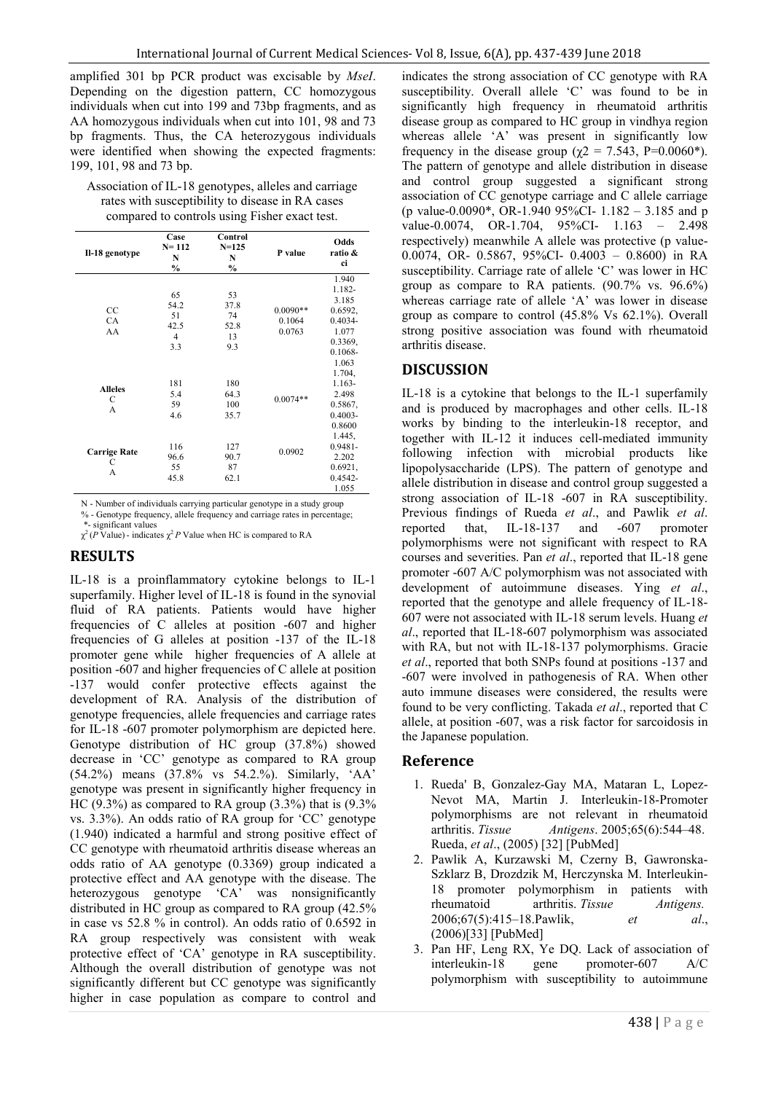amplified 301 bp PCR product was excisable by *MseI*. Depending on the digestion pattern, CC homozygous individuals when cut into 199 and 73bp fragments, and as AA homozygous individuals when cut into 101, 98 and 73 bp fragments. Thus, the CA heterozygous individuals were identified when showing the expected fragments: 199, 101, 98 and 73 bp.

| Association of IL-18 genotypes, alleles and carriage |
|------------------------------------------------------|
| rates with susceptibility to disease in RA cases     |
| compared to controls using Fisher exact test.        |

| Il-18 genotype                 | Case<br>$N = 112$<br>N<br>$\%$                    | Control<br>$N = 125$<br>N<br>$\%$     | P value                        | Odds<br>ratio &<br>ci                                                                        |
|--------------------------------|---------------------------------------------------|---------------------------------------|--------------------------------|----------------------------------------------------------------------------------------------|
| $_{\rm CC}$<br><b>CA</b><br>AA | 65<br>54.2<br>51<br>42.5<br>$\overline{4}$<br>3.3 | 53<br>37.8<br>74<br>52.8<br>13<br>9.3 | $0.0090**$<br>0.1064<br>0.0763 | 1.940<br>1.182-<br>3.185<br>0.6592.<br>$0.4034 -$<br>1.077<br>0.3369.<br>$0.1068 -$<br>1.063 |
| <b>Alleles</b><br>С<br>A       | 181<br>5.4<br>59<br>4.6                           | 180<br>64.3<br>100<br>35.7            | $0.0074**$                     | 1.704,<br>1.163-<br>2.498<br>0.5867.<br>$0.4003 -$<br>0.8600                                 |
| <b>Carrige Rate</b><br>С<br>А  | 116<br>96.6<br>55<br>45.8                         | 127<br>90.7<br>87<br>62.1             | 0.0902                         | 1.445,<br>$0.9481 -$<br>2.202<br>0.6921,<br>$0.4542 -$<br>1.055                              |

N - Number of individuals carrying particular genotype in a study group

% - Genotype frequency, allele frequency and carriage rates in percentage; \*- significant values

 $\chi^2$  (*P* Value) - indicates  $\chi^2$  *P* Value when HC is compared to RA

#### **RESULTS**

IL-18 is a proinflammatory cytokine belongs to IL-1 superfamily. Higher level of IL-18 is found in the synovial fluid of RA patients. Patients would have higher frequencies of C alleles at position -607 and higher frequencies of G alleles at position -137 of the IL-18 promoter gene while higher frequencies of A allele at position -607 and higher frequencies of C allele at position -137 would confer protective effects against the development of RA. Analysis of the distribution of genotype frequencies, allele frequencies and carriage rates for IL-18 -607 promoter polymorphism are depicted here. Genotype distribution of HC group (37.8%) showed decrease in 'CC' genotype as compared to RA group (54.2%) means (37.8% vs 54.2.%). Similarly, 'AA' genotype was present in significantly higher frequency in HC (9.3%) as compared to RA group  $(3.3\%)$  that is  $(9.3\%)$ vs. 3.3%). An odds ratio of RA group for 'CC' genotype (1.940) indicated a harmful and strong positive effect of CC genotype with rheumatoid arthritis disease whereas an odds ratio of AA genotype (0.3369) group indicated a protective effect and AA genotype with the disease. The heterozygous genotype 'CA' was nonsignificantly distributed in HC group as compared to RA group (42.5% in case vs 52.8 % in control). An odds ratio of 0.6592 in RA group respectively was consistent with weak protective effect of 'CA' genotype in RA susceptibility. Although the overall distribution of genotype was not significantly different but CC genotype was significantly higher in case population as compare to control and

indicates the strong association of CC genotype with RA susceptibility. Overall allele 'C' was found to be in significantly high frequency in rheumatoid arthritis disease group as compared to HC group in vindhya region whereas allele 'A' was present in significantly low frequency in the disease group ( $\chi$ 2 = 7.543, P=0.0060\*). The pattern of genotype and allele distribution in disease and control group suggested a significant strong association of CC genotype carriage and C allele carriage (p value-0.0090\*, OR-1.940 95%CI- 1.182 – 3.185 and p value-0.0074, OR-1.704, 95%CI- 1.163 - 2.498 respectively) meanwhile A allele was protective (p value-0.0074, OR- 0.5867, 95%CI- 0.4003 – 0.8600) in RA susceptibility. Carriage rate of allele 'C' was lower in HC group as compare to RA patients. (90.7% vs. 96.6%) whereas carriage rate of allele 'A' was lower in disease group as compare to control (45.8% Vs 62.1%). Overall strong positive association was found with rheumatoid arthritis disease.

#### **DISCUSSION**

IL-18 is a cytokine that belongs to the IL-1 superfamily and is produced by macrophages and other cells. IL-18 works by binding to the interleukin-18 receptor, and together with IL-12 it induces cell-mediated immunity following infection with microbial products like lipopolysaccharide (LPS). The pattern of genotype and allele distribution in disease and control group suggested a strong association of IL-18 -607 in RA susceptibility. Previous findings of Rueda *et al*., and Pawlik *et al*. reported that, IL-18-137 and -607 promoter polymorphisms were not significant with respect to RA courses and severities. Pan *et al*., reported that IL-18 gene promoter -607 A/C polymorphism was not associated with development of autoimmune diseases. Ying *et al*., reported that the genotype and allele frequency of IL-18- 607 were not associated with IL-18 serum levels. Huang *et al*., reported that IL-18-607 polymorphism was associated with RA, but not with IL-18-137 polymorphisms. Gracie *et al*., reported that both SNPs found at positions -137 and -607 were involved in pathogenesis of RA. When other auto immune diseases were considered, the results were found to be very conflicting. Takada *et al*., reported that C allele, at position -607, was a risk factor for sarcoidosis in the Japanese population.

#### **Reference**

- 1. Rueda' B, Gonzalez-Gay MA, Mataran L, Lopez-Nevot MA, Martin J. Interleukin-18-Promoter polymorphisms are not relevant in rheumatoid arthritis. *Tissue Antigens*. 2005;65(6):544–48. Rueda, *et al*., (2005) [32] [PubMed]
- 2. Pawlik A, Kurzawski M, Czerny B, Gawronska-Szklarz B, Drozdzik M, Herczynska M. Interleukin-18 promoter polymorphism in patients with rheumatoid arthritis. *Tissue Antigens.* 2006;67(5):415–18.Pawlik, *et al*., (2006)[33] [PubMed]
- 3. Pan HF, Leng RX, Ye DQ. Lack of association of interleukin-18 gene promoter-607 A/C polymorphism with susceptibility to autoimmune